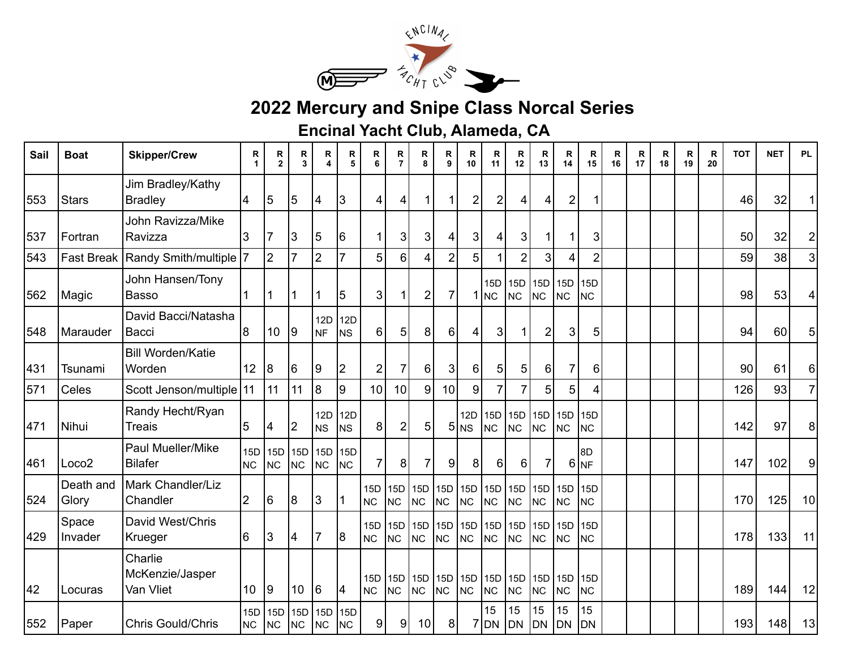

## **2022 Mercury and Snipe Class Norcal Series**

**Encinal Yacht Club, Alameda, CA**

| Sail | <b>Boat</b>        | <b>Skipper/Crew</b>                     | R<br>1                | R<br>$\mathbf{2}$ | R<br>3           | R<br>4           | R<br>5                       | R<br>6                          | R<br>$\overline{7}$ | R<br>8                  | R<br>9           | R<br>10                                        | R<br>11                | R<br>12              | R<br>13                       | R<br>14                 | R<br>15                      | R<br>16 | R<br>17 | R<br>18 | R<br>19 | R<br>20 | <b>TOT</b> | <b>NET</b> | <b>PL</b>      |
|------|--------------------|-----------------------------------------|-----------------------|-------------------|------------------|------------------|------------------------------|---------------------------------|---------------------|-------------------------|------------------|------------------------------------------------|------------------------|----------------------|-------------------------------|-------------------------|------------------------------|---------|---------|---------|---------|---------|------------|------------|----------------|
| 553  | <b>Stars</b>       | Jim Bradley/Kathy<br><b>Bradley</b>     | $\overline{\bf 4}$    | 5                 | 5                | $\vert 4$        | $\mathbf{3}$                 | 4                               | 4                   |                         |                  | $\overline{\mathbf{c}}$                        | $\overline{c}$         | 4                    | 4                             | $\overline{\mathbf{c}}$ |                              |         |         |         |         |         | 46         | 32         | 1              |
| 537  | Fortran            | John Ravizza/Mike<br>Ravizza            | 3                     | 7                 | 3                | $\sqrt{5}$       | 16                           | $\mathbf 1$                     | 3                   | 3                       | 4                | 3                                              | 4                      | 3                    |                               |                         | 3                            |         |         |         |         |         | 50         | 32         | $\overline{2}$ |
| 543  | <b>Fast Break</b>  | Randy Smith/multiple 7                  |                       | $\overline{2}$    | $\overline{7}$   | $\overline{2}$   | $\overline{7}$               | 5                               | 6                   |                         | $\overline{2}$   | 5                                              |                        | $\overline{2}$       | 3                             | 4                       | $\overline{2}$               |         |         |         |         |         | 59         | 38         | 3 <sup>1</sup> |
| 562  | Magic              | John Hansen/Tony<br><b>Basso</b>        |                       | 1                 | 1                | 1                | 5                            | 3                               | 1                   | $\overline{2}$          | $\overline{7}$   |                                                | 15D<br>1 <sub>NC</sub> | N <sub>C</sub>       | 15D 15D 15D<br>N <sub>C</sub> | NC                      | 15D<br><b>NC</b>             |         |         |         |         |         | 98         | 53         | 4              |
| 548  | Marauder           | David Bacci/Natasha<br>Bacci            | 18                    | 10                | 9                | 12D<br><b>NF</b> | <b>12D</b><br>N <sub>S</sub> | 6                               | 5                   | 8                       | 6 <sup>1</sup>   | 4                                              | 3                      | $\mathbf 1$          | $\overline{2}$                | 3                       | 5                            |         |         |         |         |         | 94         | 60         | 5              |
| 431  | Tsunami            | <b>Bill Worden/Katie</b><br>Worden      | 12 <sup>°</sup>       | 8                 | 6                | 9                | $\overline{2}$               | $\overline{2}$                  | 7                   | 6                       | 3 <sup>1</sup>   | 6                                              | 5                      | 5                    | 6                             | $\overline{7}$          | 6                            |         |         |         |         |         | 90         | 61         | 6              |
| 571  | Celes              | Scott Jenson/multiple 11                |                       | 11                | 11               | $\overline{8}$   | 9                            | 10                              | 10                  | 9                       | 10 <sub>1</sub>  | 9                                              |                        | $\overline{7}$       | 5                             | 5                       |                              |         |         |         |         |         | 126        | 93         | $\mathsf{Z}$   |
| 471  | Nihui              | Randy Hecht/Ryan<br><b>Treais</b>       | $\overline{5}$        | 4                 | 2                | 12D<br><b>NS</b> | 12D<br><b>NS</b>             | 8                               | $\overline{2}$      | 5                       |                  | 12D<br>$5 $ <sub>NS</sub>                      | 15D<br><b>NC</b>       | N <sub>C</sub>       | 15D 15D 15D<br><b>NC</b>      | NC                      | 15 <sub>D</sub><br><b>NC</b> |         |         |         |         |         | 142        | 97         | 8              |
| 461  | Loco <sub>2</sub>  | Paul Mueller/Mike<br><b>Bilafer</b>     | 15D<br>N <sub>C</sub> | 15D<br><b>NC</b>  | 15D<br><b>NC</b> | 15D<br>NC        | <b>15D</b><br><b>NC</b>      | $\overline{7}$                  | 8                   | 7                       | 9                | 8                                              | 6                      | 6                    | 7                             | 6                       | 8D<br><b>NF</b>              |         |         |         |         |         | 147        | 102        | 9              |
| 524  | Death and<br>Glory | Mark Chandler/Liz<br>Chandler           | 2                     | 6                 | 8                | 3                | $\mathbf{1}$                 | $15D$   $15D$<br>N <sub>C</sub> | <b>NC</b>           | 15D<br>NC               | NC               | 15D  15D  15D  15D  15D  15D<br>N <sub>C</sub> | NC                     | N <sub>C</sub>       | N <sub>C</sub>                | NC                      | 15 <sub>D</sub><br><b>NC</b> |         |         |         |         |         | 170        | 125        | 10             |
| 429  | Space<br>Invader   | David West/Chris<br>Krueger             | 16                    | 3                 | 4                | $\overline{7}$   | 18                           | 15D 15D<br>NC                   | <b>NC</b>           | <b>15D</b><br><b>NC</b> | 15D<br><b>NC</b> | 15D 15D<br>NC                                  | NC                     | N <sub>C</sub>       | 15D 15D 15D<br><b>NC</b>      | NC                      | 15D<br><b>NC</b>             |         |         |         |         |         | 178        | 133        | 11             |
| 42   | Locuras            | Charlie<br>McKenzie/Jasper<br>Van Vliet | 10 <sup>°</sup>       | 9                 | 10               | 6                | 4                            | N <sub>C</sub>                  | NC                  | 15D 15D 15D<br>NC       | 15D<br><b>NC</b> | 15D 15D 15D<br><b>NC</b>                       | NC                     | N <sub>C</sub>       | N <sub>C</sub>                | 15D 15D<br>NC           | <b>15D</b><br><b>NC</b>      |         |         |         |         |         | 189        | 144        | 12             |
| 552  | Paper              | Chris Gould/Chris                       | 15D<br><b>NC</b>      | 15D<br><b>NC</b>  | 15D<br>NC        | 15D<br><b>NC</b> | 15 <sub>D</sub><br><b>NC</b> | 9                               | 9                   | 10                      | 8 <sup>1</sup>   |                                                | 15<br>$7$ DN           | 15<br>DN <sub></sub> | 15<br><b>DN</b>               | 15<br>DN                | 15<br><b>DN</b>              |         |         |         |         |         | 193        | 148        | 13             |